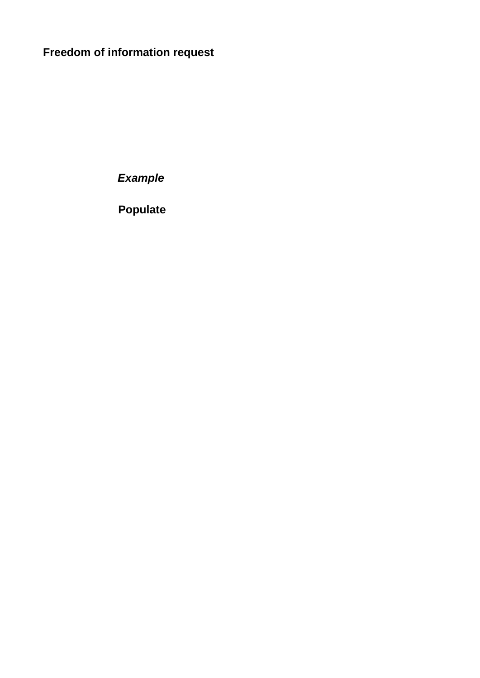## **Freedom of information request**

*Example*

**Populate**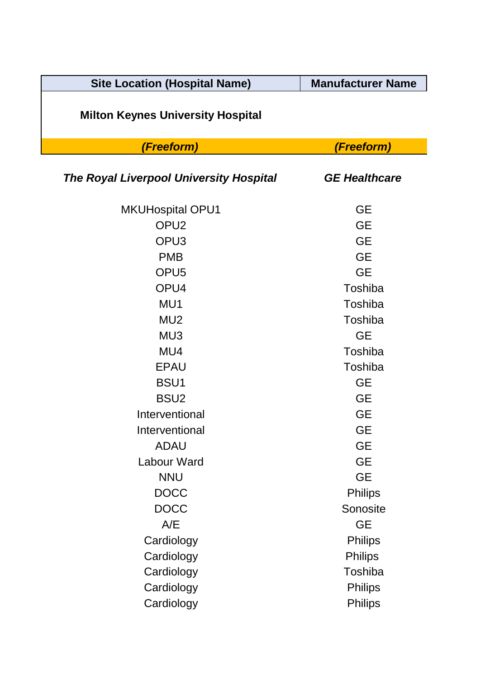| <b>Site Location (Hospital Name)</b>           | <b>Manufacturer Name</b> |
|------------------------------------------------|--------------------------|
| <b>Milton Keynes University Hospital</b>       |                          |
| (Freeform)                                     | (Freeform)               |
| <b>The Royal Liverpool University Hospital</b> | <b>GE Healthcare</b>     |
| <b>MKUHospital OPU1</b>                        | <b>GE</b>                |
| OPU <sub>2</sub>                               | <b>GE</b>                |
| OPU <sub>3</sub>                               | <b>GE</b>                |
| <b>PMB</b>                                     | <b>GE</b>                |
| OPU <sub>5</sub>                               | <b>GE</b>                |
| OPU4                                           | Toshiba                  |
| MU1                                            | Toshiba                  |
| MU <sub>2</sub>                                | Toshiba                  |
| MU3                                            | <b>GE</b>                |
| MU4                                            | Toshiba                  |
| <b>EPAU</b>                                    | Toshiba                  |
| BSU <sub>1</sub>                               | <b>GE</b>                |
| BSU <sub>2</sub>                               | <b>GE</b>                |
| Interventional                                 | <b>GE</b>                |
| Interventional                                 | <b>GE</b>                |
| <b>ADAU</b>                                    | <b>GE</b>                |
| Labour Ward                                    | <b>GE</b>                |
| <b>NNU</b>                                     | <b>GE</b>                |
| <b>DOCC</b>                                    | <b>Philips</b>           |
| <b>DOCC</b>                                    | Sonosite                 |
| A/E                                            | <b>GE</b>                |
| Cardiology                                     | <b>Philips</b>           |
| Cardiology                                     | <b>Philips</b>           |
| Cardiology                                     | Toshiba                  |
| Cardiology                                     | <b>Philips</b>           |
| Cardiology                                     | <b>Philips</b>           |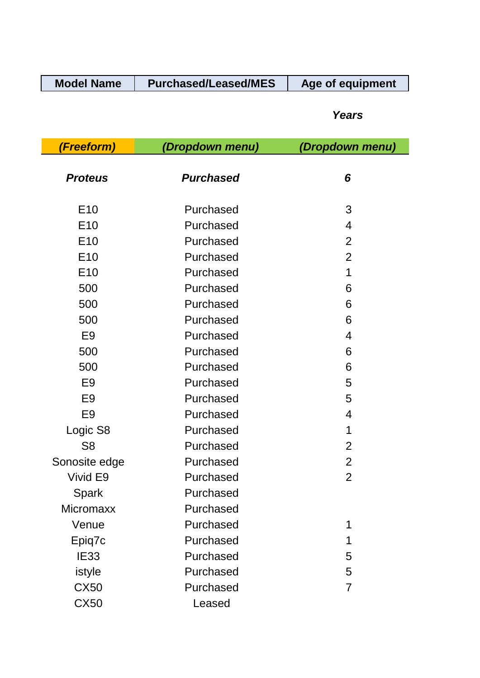| <b>Model Name</b> | <b>Purchased/Leased/MES</b> | Age of equipment |
|-------------------|-----------------------------|------------------|
|-------------------|-----------------------------|------------------|

## *Years*

| (Freeform)<br>(Dropdown menu) |                  | (Dropdown menu) |
|-------------------------------|------------------|-----------------|
| <b>Proteus</b>                | <b>Purchased</b> | 6               |
| E <sub>10</sub>               | Purchased        | 3               |
| E <sub>10</sub>               | Purchased        | $\overline{4}$  |
| E <sub>10</sub>               | Purchased        | $\overline{2}$  |
| E <sub>10</sub>               | Purchased        | $\overline{2}$  |
| E <sub>10</sub>               | Purchased        | 1               |
| 500                           | Purchased        | 6               |
| 500                           | Purchased        | 6               |
| 500                           | Purchased        | 6               |
| E <sub>9</sub>                | Purchased        | 4               |
| 500                           | Purchased        | 6               |
| 500                           | Purchased        | 6               |
| E <sub>9</sub>                | Purchased        | 5               |
| E <sub>9</sub>                | Purchased        | 5               |
| E <sub>9</sub>                | Purchased        | 4               |
| Logic S8                      | Purchased        | 1               |
| S <sub>8</sub>                | Purchased        | $\overline{2}$  |
| Sonosite edge                 | Purchased        | $\overline{2}$  |
| Vivid E9                      | Purchased        | $\overline{2}$  |
| Spark                         | Purchased        |                 |
| <b>Micromaxx</b>              | Purchased        |                 |
| Venue                         | Purchased        | 1               |
| Epiq7c                        | Purchased        | 1               |
| <b>IE33</b>                   | Purchased        | 5               |
| istyle                        | Purchased        | 5               |
| <b>CX50</b>                   | Purchased        | $\overline{7}$  |
| <b>CX50</b>                   | Leased           |                 |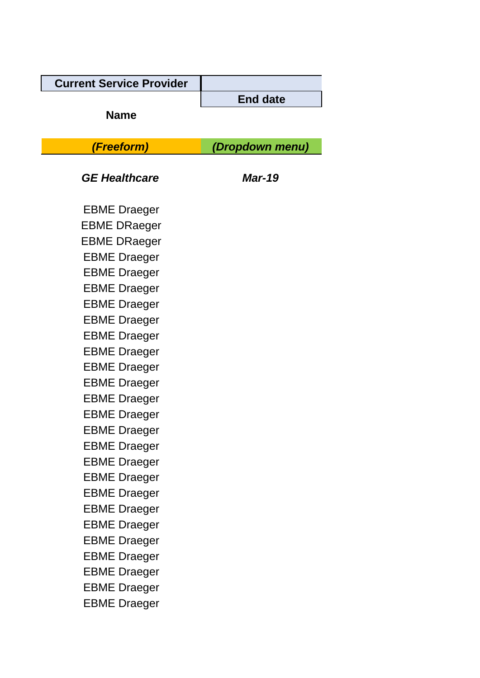| <b>Current Service Provider</b> |                 |  |
|---------------------------------|-----------------|--|
|                                 | <b>End date</b> |  |
| <b>Name</b>                     |                 |  |
| (Freeform)                      | (Dropdown menu) |  |
| <b>GE Healthcare</b>            | <b>Mar-19</b>   |  |
| <b>EBME Draeger</b>             |                 |  |
| <b>EBME DRaeger</b>             |                 |  |
| <b>EBME DRaeger</b>             |                 |  |
| <b>EBME Draeger</b>             |                 |  |
| <b>EBME Draeger</b>             |                 |  |
| <b>EBME Draeger</b>             |                 |  |
| <b>EBME Draeger</b>             |                 |  |
| <b>EBME Draeger</b>             |                 |  |
| <b>EBME Draeger</b>             |                 |  |
| <b>EBME Draeger</b>             |                 |  |
| <b>EBME Draeger</b>             |                 |  |
| <b>EBME Draeger</b>             |                 |  |
| <b>EBME Draeger</b>             |                 |  |
| <b>EBME Draeger</b>             |                 |  |
| EBME Draeger                    |                 |  |
| <b>EBME Draeger</b>             |                 |  |
| <b>EBME Draeger</b>             |                 |  |
| <b>EBME Draeger</b>             |                 |  |
| <b>EBME Draeger</b>             |                 |  |
| <b>EBME Draeger</b>             |                 |  |
| <b>EBME Draeger</b>             |                 |  |
| <b>EBME Draeger</b>             |                 |  |
| <b>EBME Draeger</b>             |                 |  |
| <b>EBME Draeger</b>             |                 |  |
| <b>EBME Draeger</b>             |                 |  |
| <b>EBME Draeger</b>             |                 |  |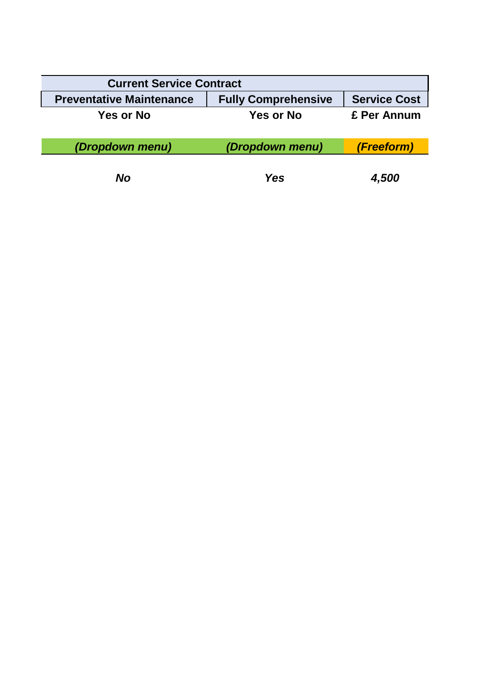| <b>Current Service Contract</b> |                            |                     |  |
|---------------------------------|----------------------------|---------------------|--|
| <b>Preventative Maintenance</b> | <b>Fully Comprehensive</b> | <b>Service Cost</b> |  |
| Yes or No                       | <b>Yes or No</b>           | £ Per Annum         |  |
| (Dropdown menu)                 | (Dropdown menu)            | <i>(Freeform)</i>   |  |
| No                              | <b>Yes</b>                 | 4,500               |  |